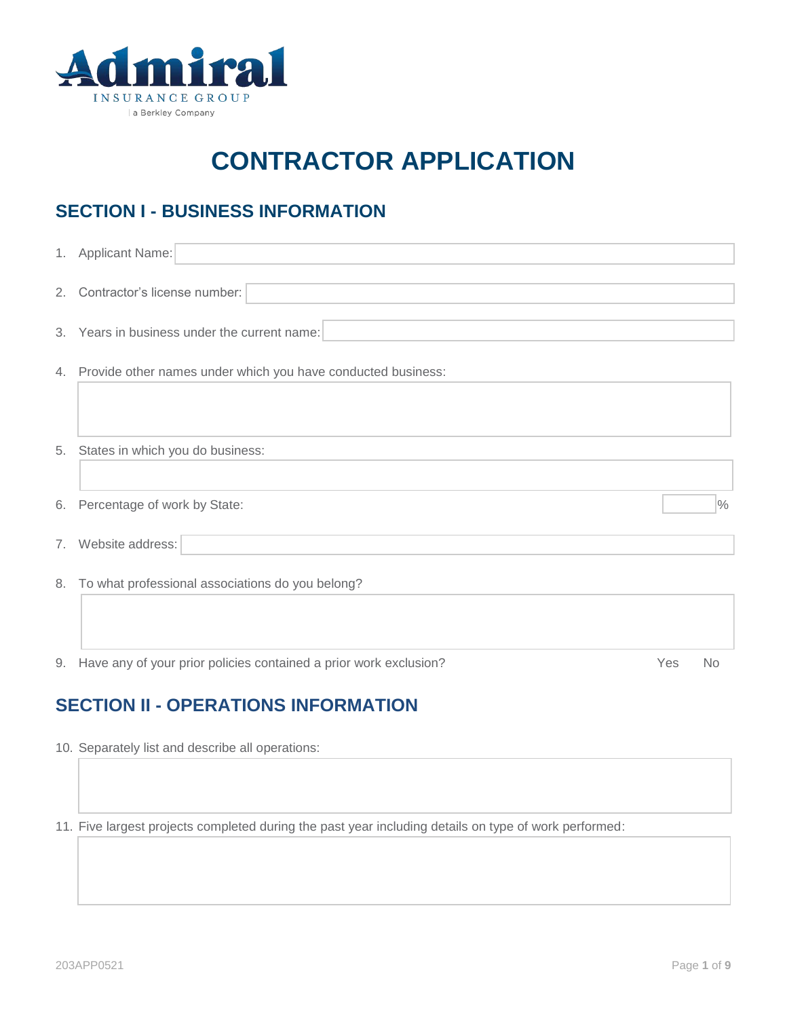

# **CONTRACTOR APPLICATION**

# **SECTION I - BUSINESS INFORMATION**

|    | 1. Applicant Name:                                                   |                   |
|----|----------------------------------------------------------------------|-------------------|
|    | 2. Contractor's license number:                                      |                   |
|    | 3. Years in business under the current name:                         |                   |
|    | 4. Provide other names under which you have conducted business:      |                   |
|    |                                                                      |                   |
|    | 5. States in which you do business:                                  |                   |
| 6. | Percentage of work by State:                                         | $\frac{0}{0}$     |
| 7. | Website address:                                                     |                   |
|    | 8. To what professional associations do you belong?                  |                   |
|    |                                                                      |                   |
|    | 9. Have any of your prior policies contained a prior work exclusion? | Yes $\bigcirc$ No |

# **SECTION II - OPERATIONS INFORMATION**

10. Separately list and describe all operations:

11. Five largest projects completed during the past year including details on type of work performed: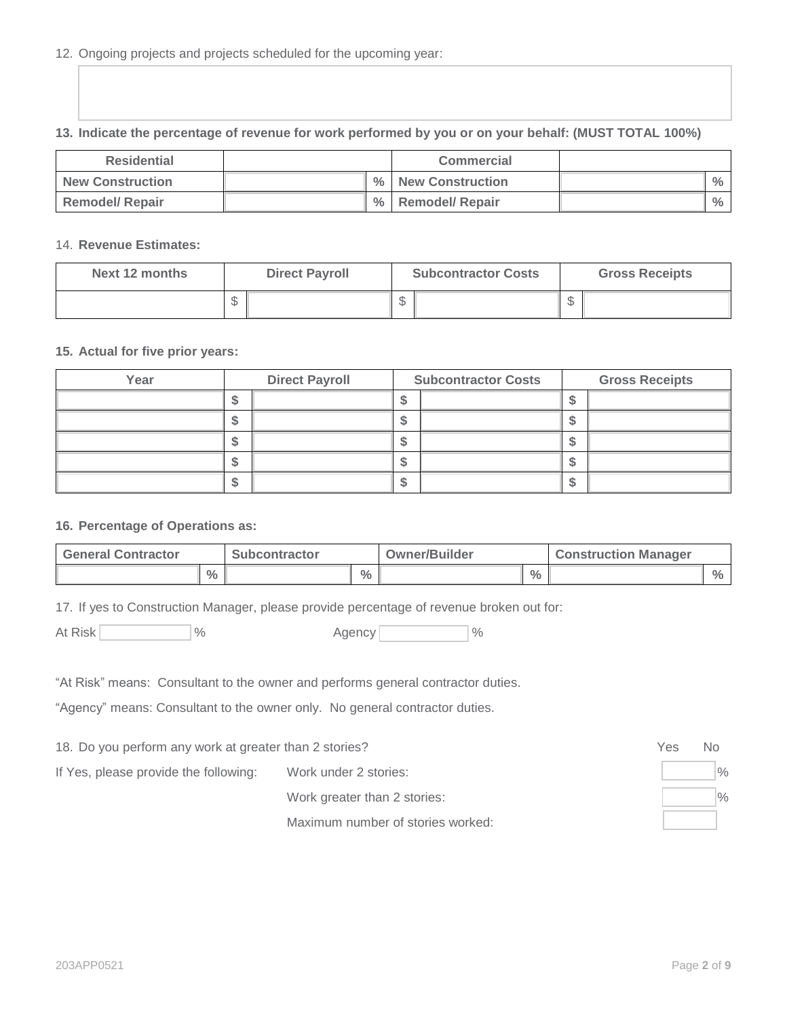### 12. Ongoing projects and projects scheduled for the upcoming year:

### **13. Indicate the percentage of revenue for work performed by you or on your behalf: (MUST TOTAL 100%)**

| <b>Residential</b>      |      | <b>Commercial</b>      |               |
|-------------------------|------|------------------------|---------------|
| <b>New Construction</b> |      | % New Construction     | $\frac{0}{0}$ |
| <b>Remodel/ Repair</b>  | $\%$ | <b>Remodel/ Repair</b> | $\frac{0}{0}$ |

### 14. **Revenue Estimates:**

| Next 12 months | <b>Direct Payroll</b> |  | <b>Subcontractor Costs</b> |  | <b>Gross Receipts</b> |  |
|----------------|-----------------------|--|----------------------------|--|-----------------------|--|
|                | ∩<br>۰D               |  | \$                         |  | ∩<br>Φ                |  |

### **15. Actual for five prior years:**

| Year |    | <b>Direct Payroll</b> | <b>Subcontractor Costs</b> | <b>Gross Receipts</b> |
|------|----|-----------------------|----------------------------|-----------------------|
|      | ש  |                       |                            |                       |
|      | ъD |                       |                            |                       |
|      |    |                       |                            |                       |
|      | نك |                       |                            |                       |
|      | ۰D |                       |                            |                       |

### **16. Percentage of Operations as:**

| <b>General Contractor</b> |               | <b>Subcontractor</b> |               | <b>Owner/Builder</b> |               | <b>Construction Manager</b> |               |  |
|---------------------------|---------------|----------------------|---------------|----------------------|---------------|-----------------------------|---------------|--|
|                           | $\frac{0}{0}$ |                      | $\frac{0}{0}$ |                      | $\frac{0}{0}$ |                             | $\frac{0}{0}$ |  |

17. If yes to Construction Manager, please provide percentage of revenue broken out for:

At Risk  $\frac{1}{2}$  % Agency  $\frac{1}{2}$  %

|  | Agency |  |
|--|--------|--|
|--|--------|--|

"At Risk" means: Consultant to the owner and performs general contractor duties.

"Agency" means: Consultant to the owner only. No general contractor duties.

18. Do you perform any work at greater than 2 stories?  $\bigcirc$  Yes  $\bigcirc$  No

If Yes, please provide the following: Work under 2 stories:  $\vert \hspace{1cm} \vert \hspace{1cm} \rangle$ 

Work greater than 2 stories:  $\frac{1}{8}$ 

Maximum number of stories worked:

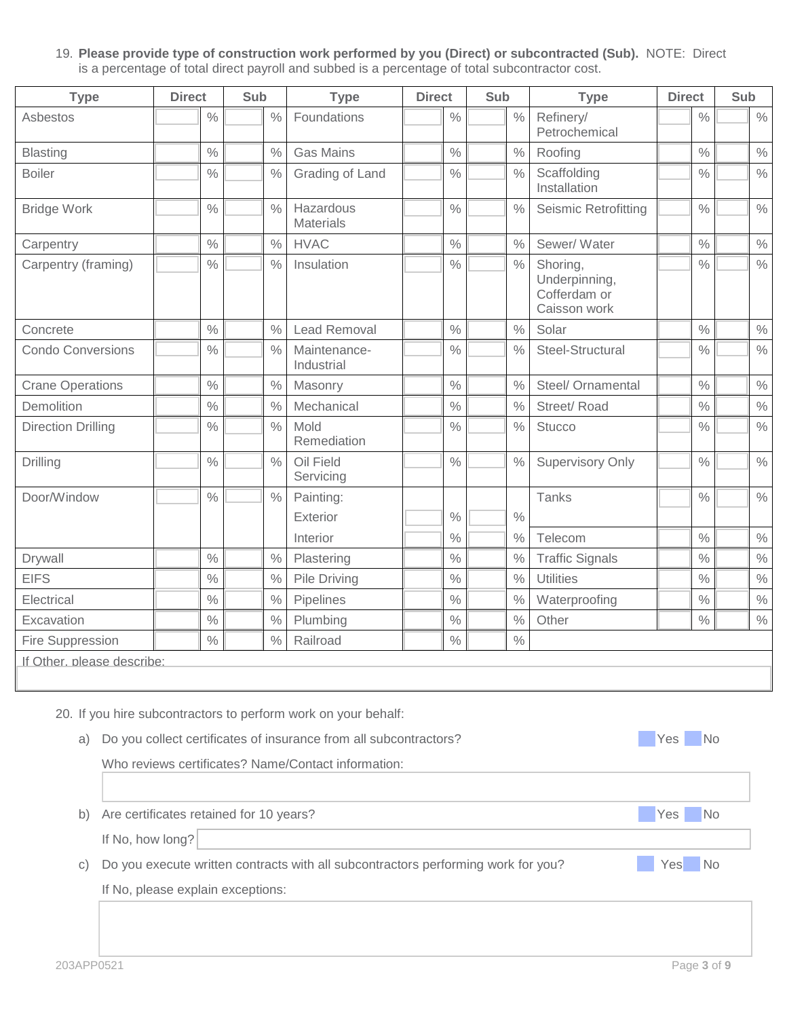#### 19. **Please provide type of construction work performed by you (Direct) or subcontracted (Sub).** NOTE: Direct is a percentage of total direct payroll and subbed is a percentage of total subcontractor cost.

| <b>Type</b>                                                                                                                                 | <b>Direct</b>                           | Sub                                                                                                               | <b>Type</b>                                                                                                                                                                                | <b>Direct</b> | Sub           | <b>Type</b>                                               | <b>Direct</b>                | Sub                            |  |  |  |  |
|---------------------------------------------------------------------------------------------------------------------------------------------|-----------------------------------------|-------------------------------------------------------------------------------------------------------------------|--------------------------------------------------------------------------------------------------------------------------------------------------------------------------------------------|---------------|---------------|-----------------------------------------------------------|------------------------------|--------------------------------|--|--|--|--|
| Asbestos                                                                                                                                    | $\frac{0}{0}$                           | $\frac{0}{0}$                                                                                                     | Foundations                                                                                                                                                                                | $\frac{0}{0}$ | $\frac{0}{0}$ | Refinery/<br>Petrochemical                                | $\frac{0}{0}$                | $\frac{0}{0}$                  |  |  |  |  |
| $\frac{0}{0}$<br><b>Gas Mains</b><br>$\frac{0}{0}$<br>$\frac{0}{0}$<br>$\%$<br>Roofing<br><b>Blasting</b><br>$\frac{0}{0}$<br><b>Boiler</b> |                                         |                                                                                                                   |                                                                                                                                                                                            |               |               |                                                           |                              |                                |  |  |  |  |
| $\frac{0}{0}$<br>$\frac{0}{0}$<br>$\frac{0}{0}$<br>Grading of Land<br>Scaffolding<br>Installation                                           |                                         |                                                                                                                   |                                                                                                                                                                                            |               |               |                                                           |                              | $\frac{0}{0}$<br>$\frac{0}{0}$ |  |  |  |  |
| <b>Bridge Work</b>                                                                                                                          | <b>Seismic Retrofitting</b>             | $\frac{0}{0}$                                                                                                     | $\%$                                                                                                                                                                                       |               |               |                                                           |                              |                                |  |  |  |  |
| Carpentry                                                                                                                                   | $\frac{0}{0}$                           | $\frac{0}{0}$                                                                                                     | <b>HVAC</b>                                                                                                                                                                                | $\%$          | $\frac{0}{0}$ | Sewer/ Water                                              | $\frac{0}{0}$                | $\%$                           |  |  |  |  |
| Carpentry (framing)                                                                                                                         | $\frac{0}{0}$                           | $\frac{0}{0}$                                                                                                     | Insulation                                                                                                                                                                                 | $\frac{0}{0}$ | $\%$          | Shoring,<br>Underpinning,<br>Cofferdam or<br>Caisson work | $\frac{0}{0}$                | $\frac{0}{0}$                  |  |  |  |  |
| Concrete                                                                                                                                    | $\frac{0}{0}$                           | $\frac{0}{0}$                                                                                                     | Lead Removal                                                                                                                                                                               | $\frac{0}{0}$ | $\frac{0}{0}$ | Solar                                                     | $\frac{0}{0}$                | $\%$                           |  |  |  |  |
| <b>Condo Conversions</b>                                                                                                                    | $\frac{0}{0}$                           | $\frac{0}{0}$                                                                                                     | Maintenance-<br>Industrial                                                                                                                                                                 | $\%$          | $\frac{0}{0}$ | Steel-Structural                                          | $\frac{0}{0}$                | $\%$                           |  |  |  |  |
| <b>Crane Operations</b>                                                                                                                     | $\frac{0}{0}$                           | $\%$                                                                                                              | Masonry                                                                                                                                                                                    | $\%$          | $\%$          | Steel/ Ornamental                                         | $\frac{0}{0}$                | $\%$                           |  |  |  |  |
| Demolition                                                                                                                                  | $\frac{0}{0}$                           | $\frac{0}{0}$                                                                                                     | Mechanical                                                                                                                                                                                 | $\%$          | $\frac{0}{0}$ | Street/Road                                               | $\frac{0}{0}$                | $\%$                           |  |  |  |  |
| <b>Direction Drilling</b>                                                                                                                   | $\frac{0}{0}$                           | $\frac{0}{0}$                                                                                                     | Mold<br>Remediation                                                                                                                                                                        | $\frac{0}{0}$ | $\frac{0}{0}$ | <b>Stucco</b>                                             | $\frac{0}{0}$                | $\%$                           |  |  |  |  |
| Drilling                                                                                                                                    | $\frac{0}{0}$                           | $\frac{0}{0}$                                                                                                     | Oil Field<br>Servicing                                                                                                                                                                     | $\frac{0}{0}$ | $\frac{0}{0}$ | <b>Supervisory Only</b>                                   | $\frac{0}{0}$                | $\%$                           |  |  |  |  |
| Door/Window                                                                                                                                 | $\frac{0}{0}$                           | $\%$                                                                                                              | Painting:                                                                                                                                                                                  |               |               | Tanks                                                     | $\frac{0}{0}$                | $\%$                           |  |  |  |  |
|                                                                                                                                             |                                         |                                                                                                                   | Exterior                                                                                                                                                                                   | $\frac{0}{0}$ | $\frac{0}{0}$ |                                                           |                              |                                |  |  |  |  |
|                                                                                                                                             |                                         |                                                                                                                   | Interior                                                                                                                                                                                   | $\%$          | $\frac{0}{0}$ | Telecom                                                   | $\frac{0}{0}$                | $\%$                           |  |  |  |  |
| Drywall                                                                                                                                     | $\frac{0}{0}$                           | $\frac{0}{0}$                                                                                                     | Plastering                                                                                                                                                                                 | $\%$          | $\frac{0}{0}$ | <b>Traffic Signals</b>                                    | $\frac{0}{0}$                | $\%$                           |  |  |  |  |
| <b>EIFS</b>                                                                                                                                 | $\frac{0}{0}$                           | $\frac{0}{0}$                                                                                                     | Pile Driving                                                                                                                                                                               | $\%$          | $\%$          | <b>Utilities</b>                                          | $\frac{0}{0}$                | $\frac{0}{0}$                  |  |  |  |  |
| Electrical                                                                                                                                  | $\frac{0}{0}$                           | $\frac{0}{0}$                                                                                                     | Pipelines                                                                                                                                                                                  | $\%$          | $\frac{0}{0}$ | Waterproofing                                             | $\%$                         | $\frac{0}{0}$                  |  |  |  |  |
| Excavation                                                                                                                                  | $\frac{0}{0}$                           | $\frac{0}{0}$                                                                                                     | Plumbing                                                                                                                                                                                   | $\%$          | $\frac{0}{0}$ | Other                                                     | $\%$                         | $\%$                           |  |  |  |  |
| Fire Suppression                                                                                                                            | $\frac{0}{0}$                           | $\frac{0}{0}$                                                                                                     | Railroad                                                                                                                                                                                   | $\frac{0}{0}$ | $\%$          |                                                           |                              |                                |  |  |  |  |
| If Other, please describe:                                                                                                                  |                                         |                                                                                                                   |                                                                                                                                                                                            |               |               |                                                           |                              |                                |  |  |  |  |
| a)                                                                                                                                          |                                         |                                                                                                                   | 20. If you hire subcontractors to perform work on your behalf:<br>Do you collect certificates of insurance from all subcontractors?<br>Who reviews certificates? Name/Contact information: |               |               |                                                           | Yes No                       |                                |  |  |  |  |
| b)                                                                                                                                          | Are certificates retained for 10 years? |                                                                                                                   |                                                                                                                                                                                            |               |               |                                                           | $\bigcirc$ Yes $\bigcirc$ No |                                |  |  |  |  |
|                                                                                                                                             |                                         |                                                                                                                   |                                                                                                                                                                                            |               |               |                                                           |                              |                                |  |  |  |  |
| $\circ$ )                                                                                                                                   |                                         | If No, how long?<br>Yes ◯ No<br>Do you execute written contracts with all subcontractors performing work for you? |                                                                                                                                                                                            |               |               |                                                           |                              |                                |  |  |  |  |

If No, please explain exceptions: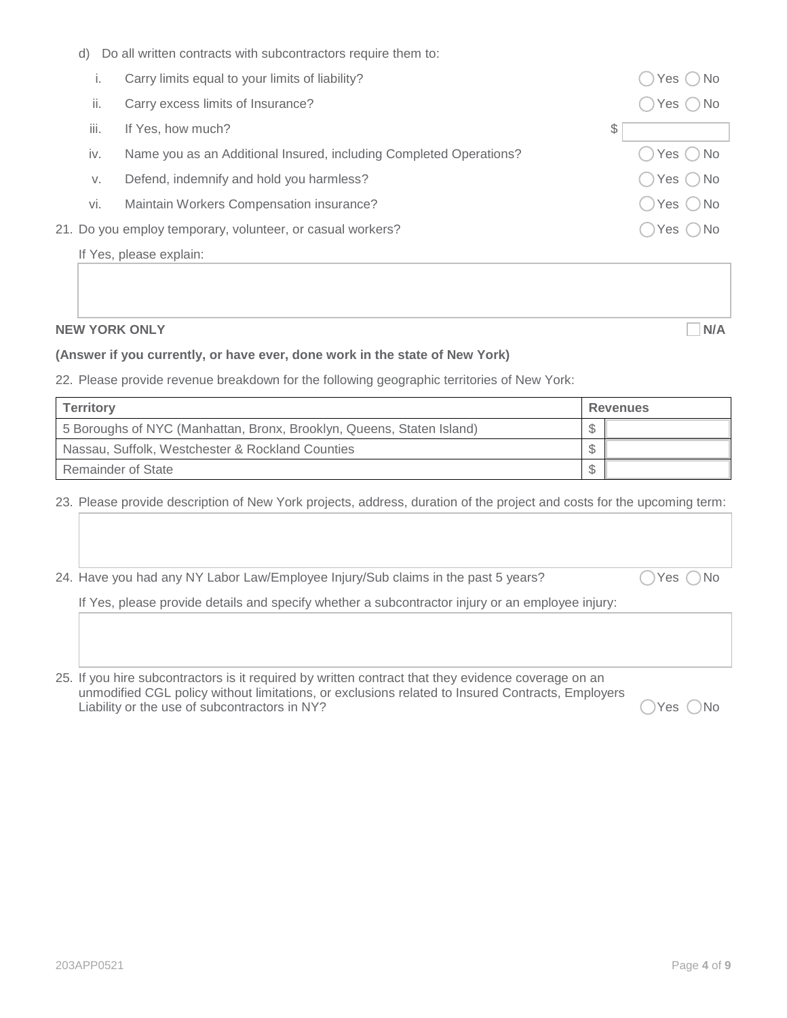d) Do all written contracts with subcontractors require them to:

| Carry limits equal to your limits of liability? |  |  |
|-------------------------------------------------|--|--|
|                                                 |  |  |

- ii. Carry excess limits of Insurance?  $\bigcirc$  Yes  $\bigcirc$  No
- iii. If Yes, how much?  $\sim$
- iv. Name you as an Additional Insured, including Completed Operations?  $\bigcirc$  Yes  $\bigcirc$  No
- v. Defend, indemnify and hold you harmless?  $\bigcirc$  Yes  $\bigcirc$  Yes  $\bigcirc$  No
- vi. Maintain Workers Compensation insurance?  $\bigcirc$  Yes  $\bigcirc$  Yes  $\bigcirc$  No
- 21. Do you employ temporary, volunteer, or casual workers?  $\bigcap$  Yes  $\bigcap$  Yes  $\bigcap$  No

If Yes, please explain:

#### **NEW YORK ONLY NEW YORK ONLY**

 $\bigcirc$  Yes  $\bigcirc$  No

#### **(Answer if you currently, or have ever, done work in the state of New York)**

22. Please provide revenue breakdown for the following geographic territories of New York:

| <b>Territory</b>                                                      | <b>Revenues</b> |  |  |
|-----------------------------------------------------------------------|-----------------|--|--|
| 5 Boroughs of NYC (Manhattan, Bronx, Brooklyn, Queens, Staten Island) |                 |  |  |
| Nassau, Suffolk, Westchester & Rockland Counties                      |                 |  |  |
| Remainder of State                                                    |                 |  |  |

23. Please provide description of New York projects, address, duration of the project and costs for the upcoming term:

24. Have you had any NY Labor Law/Employee Injury/Sub claims in the past 5 years?  $\bigcirc$  Yes  $\bigcirc$  No

If Yes, please provide details and specify whether a subcontractor injury or an employee injury:

25. If you hire subcontractors is it required by written contract that they evidence coverage on an unmodified CGL policy without limitations, or exclusions related to Insured Contracts, Employers Liability or the use of subcontractors in NY?  $\bigcirc$  Yes  $\bigcirc$  No

203APP0521 Page **4** of **9**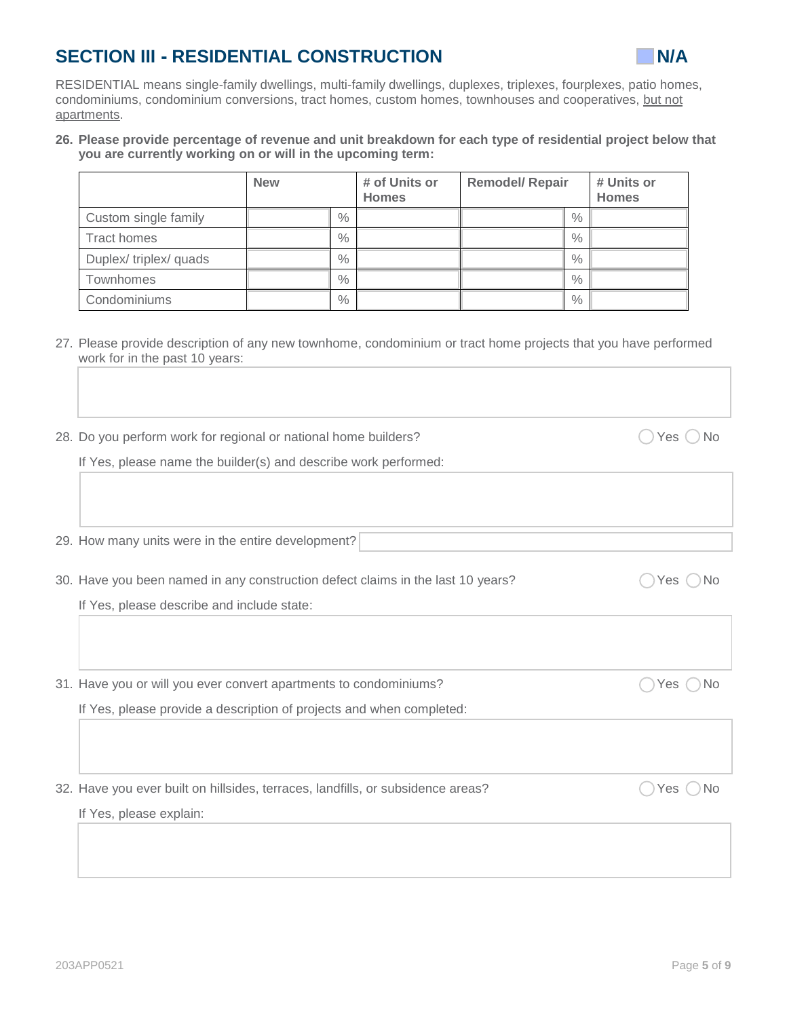# **SECTION III - RESIDENTIAL CONSTRUCTION N/A**



RESIDENTIAL means single-family dwellings, multi-family dwellings, duplexes, triplexes, fourplexes, patio homes, condominiums, condominium conversions, tract homes, custom homes, townhouses and cooperatives, but not apartments.

#### **26. Please provide percentage of revenue and unit breakdown for each type of residential project below that you are currently working on or will in the upcoming term:**

|                      | <b>New</b> |               | # of Units or<br><b>Homes</b> | <b>Remodel/ Repair</b> |      | # Units or<br><b>Homes</b> |
|----------------------|------------|---------------|-------------------------------|------------------------|------|----------------------------|
| Custom single family |            | $\%$          |                               |                        | $\%$ |                            |
| Tract homes          |            | $\%$          |                               |                        | $\%$ |                            |
| Duplex/triplex/quads |            | $\%$          |                               |                        | $\%$ |                            |
| Townhomes            |            | $\%$          |                               |                        | $\%$ |                            |
| Condominiums         |            | $\frac{0}{0}$ |                               |                        | $\%$ |                            |

27. Please provide description of any new townhome, condominium or tract home projects that you have performed work for in the past 10 years:

| 28. Do you perform work for regional or national home builders? | $\bigcap$ Yes $\bigcap$ No |  |  |  |  |  |
|-----------------------------------------------------------------|----------------------------|--|--|--|--|--|
|-----------------------------------------------------------------|----------------------------|--|--|--|--|--|

If Yes, please name the builder(s) and describe work performed:

29. How many units were in the entire development?

30. Have you been named in any construction defect claims in the last 10 years?  $\bigcirc$  Yes  $\bigcirc$  No

If Yes, please describe and include state:

31. Have you or will you ever convert apartments to condominiums?  $\bigcirc$  Yes  $\bigcirc$  Yes  $\bigcirc$  No

If Yes, please provide a description of projects and when completed:

32. Have you ever built on hillsides, terraces, landfills, or subsidence areas?  $\bigcap$  Yes  $\bigcap$  Yes  $\bigcap$  No

If Yes, please explain: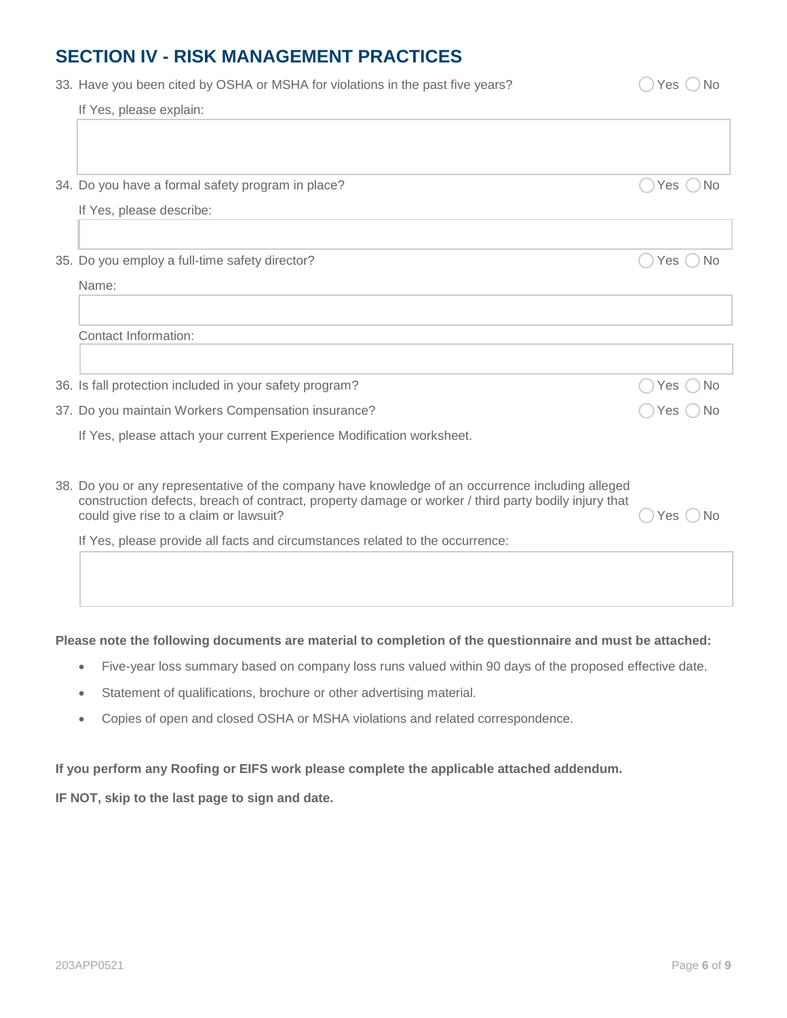### **SECTION IV - RISK MANAGEMENT PRACTICES**

| 33. Have you been cited by OSHA or MSHA for violations in the past five years?                                                                 | Yes                |
|------------------------------------------------------------------------------------------------------------------------------------------------|--------------------|
| If Yes, please explain:                                                                                                                        |                    |
|                                                                                                                                                |                    |
|                                                                                                                                                |                    |
| 34. Do you have a formal safety program in place?                                                                                              | .No<br>Yes         |
| If Yes, please describe:                                                                                                                       |                    |
|                                                                                                                                                |                    |
| 35. Do you employ a full-time safety director?                                                                                                 | Yes<br><b>No</b>   |
| Name:                                                                                                                                          |                    |
|                                                                                                                                                |                    |
| Contact Information:                                                                                                                           |                    |
|                                                                                                                                                |                    |
| 36. Is fall protection included in your safety program?                                                                                        | No<br>Yes          |
| 37. Do you maintain Workers Compensation insurance?                                                                                            | Yes ( ) No         |
| If Yes, please attach your current Experience Modification worksheet.                                                                          |                    |
|                                                                                                                                                |                    |
| 38. Do you or any representative of the company have knowledge of an occurrence including alleged                                              |                    |
| construction defects, breach of contract, property damage or worker / third party bodily injury that<br>could give rise to a claim or lawsuit? | <b>No</b><br>Yes l |
| If Yes, please provide all facts and circumstances related to the occurrence:                                                                  |                    |
|                                                                                                                                                |                    |

#### **Please note the following documents are material to completion of the questionnaire and must be attached:**

- Five-year loss summary based on company loss runs valued within 90 days of the proposed effective date.
- Statement of qualifications, brochure or other advertising material.
- Copies of open and closed OSHA or MSHA violations and related correspondence.

#### **If you perform any Roofing or EIFS work please complete the applicable attached addendum.**

**IF NOT, skip to the last page to sign and date.**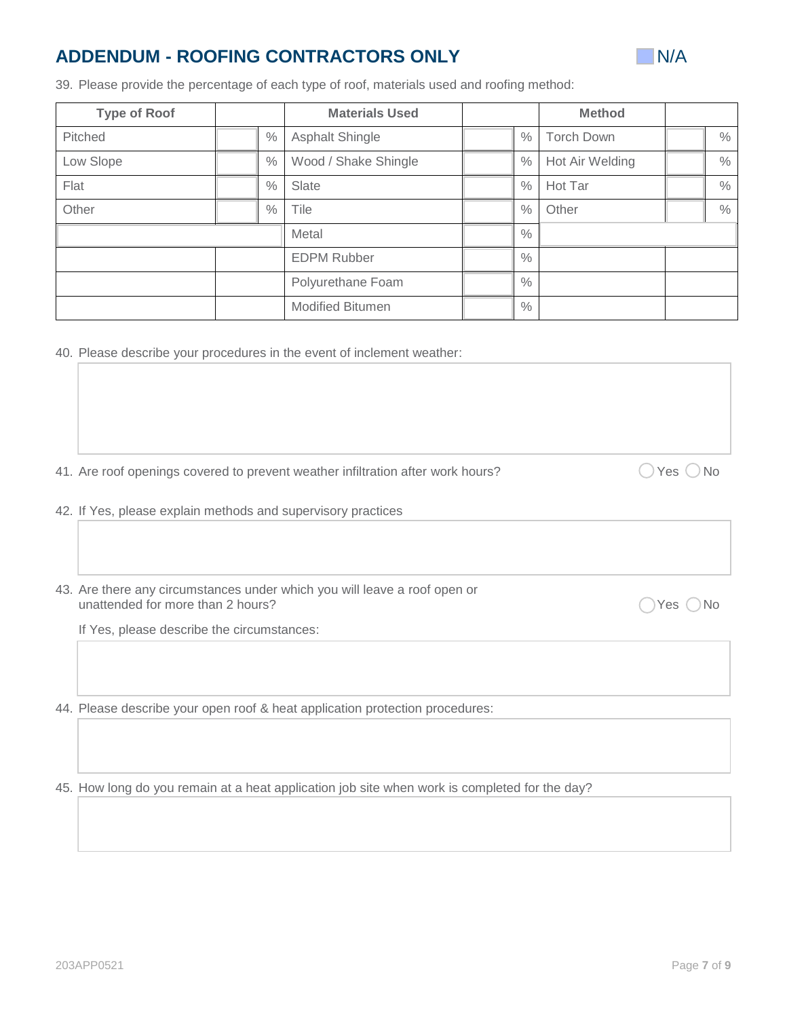## **ADDENDUM - ROOFING CONTRACTORS ONLY NIGHT AND RELATIONS ONLY N/A**



39. Please provide the percentage of each type of roof, materials used and roofing method:

| <b>Type of Roof</b> |  |                    | <b>Materials Used</b>   |               | <b>Method</b>     |      |
|---------------------|--|--------------------|-------------------------|---------------|-------------------|------|
| Pitched             |  | $\frac{0}{0}$      | Asphalt Shingle         | $\%$          | <b>Torch Down</b> | $\%$ |
| Low Slope           |  | $\frac{0}{0}$      | Wood / Shake Shingle    | $\frac{0}{0}$ | Hot Air Welding   | $\%$ |
| Flat                |  | $\%$               | Slate                   | $\%$          | Hot Tar           | $\%$ |
| Other               |  | $\%$               | Tile                    | $\frac{0}{0}$ | Other             | $\%$ |
|                     |  |                    | Metal                   | $\%$          |                   |      |
|                     |  | <b>EDPM Rubber</b> | $\%$                    |               |                   |      |
|                     |  |                    | Polyurethane Foam       | $\frac{0}{0}$ |                   |      |
|                     |  |                    | <b>Modified Bitumen</b> | $\%$          |                   |      |

40. Please describe your procedures in the event of inclement weather:

41. Are roof openings covered to prevent weather infiltration after work hours?  $\bigcirc$  Yes  $\bigcirc$  No

- 42. If Yes, please explain methods and supervisory practices
- 43. Are there any circumstances under which you will leave a roof open or unattended for more than 2 hours?  $\bigcirc$  Yes  $\bigcirc$  No

If Yes, please describe the circumstances:

44. Please describe your open roof & heat application protection procedures:

45. How long do you remain at a heat application job site when work is completed for the day?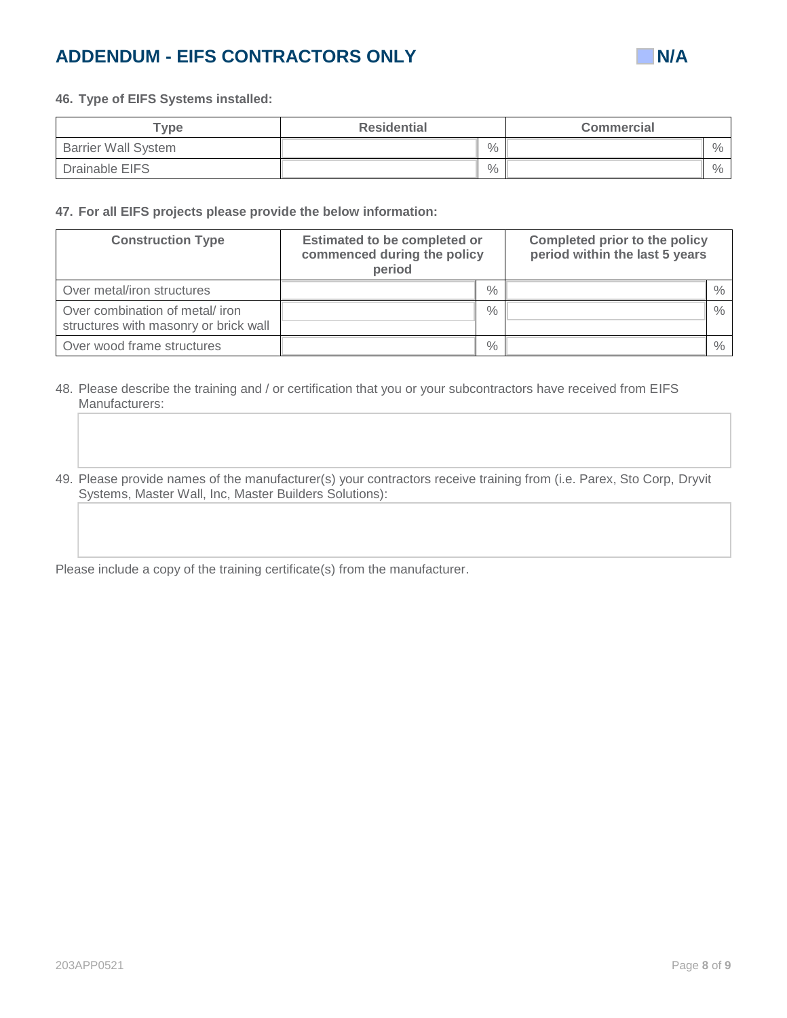# **ADDENDUM - EIFS CONTRACTORS ONLY ADDENDUM - EIFS**



#### **46. Type of EIFS Systems installed:**

| ${\sf \tau}$ ype           | <b>Residential</b> | <b>Commercial</b> |  |
|----------------------------|--------------------|-------------------|--|
| <b>Barrier Wall System</b> | $\frac{0}{0}$      | $\frac{0}{0}$     |  |
| Drainable EIFS             | $\frac{0}{0}$      | $\frac{0}{0}$     |  |

#### **47. For all EIFS projects please provide the below information:**

| <b>Construction Type</b>                                                | <b>Estimated to be completed or</b><br>commenced during the policy<br>period |      | <b>Completed prior to the policy</b><br>period within the last 5 years |      |
|-------------------------------------------------------------------------|------------------------------------------------------------------------------|------|------------------------------------------------------------------------|------|
| Over metal/iron structures                                              |                                                                              | $\%$ |                                                                        | $\%$ |
| Over combination of metal/iron<br>structures with masonry or brick wall |                                                                              | $\%$ |                                                                        | $\%$ |
| Over wood frame structures                                              |                                                                              | $\%$ |                                                                        | %    |

48. Please describe the training and / or certification that you or your subcontractors have received from EIFS Manufacturers:

49. Please provide names of the manufacturer(s) your contractors receive training from (i.e. Parex, Sto Corp, Dryvit Systems, Master Wall, Inc, Master Builders Solutions):

Please include a copy of the training certificate(s) from the manufacturer.